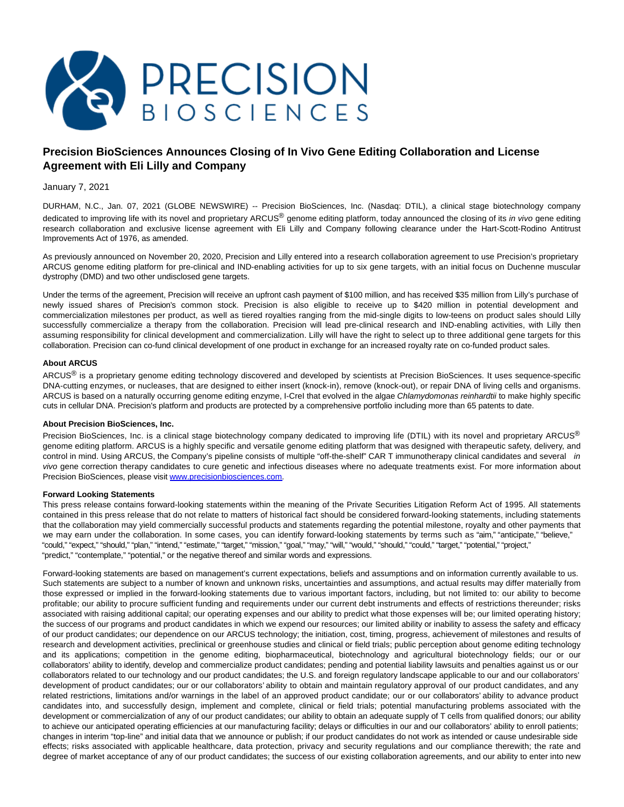

# **Precision BioSciences Announces Closing of In Vivo Gene Editing Collaboration and License Agreement with Eli Lilly and Company**

# January 7, 2021

DURHAM, N.C., Jan. 07, 2021 (GLOBE NEWSWIRE) -- Precision BioSciences, Inc. (Nasdaq: DTIL), a clinical stage biotechnology company dedicated to improving life with its novel and proprietary ARCUS<sup>®</sup> genome editing platform, today announced the closing of its *in vivo* gene editing research collaboration and exclusive license agreement with Eli Lilly and Company following clearance under the Hart-Scott-Rodino Antitrust Improvements Act of 1976, as amended.

As previously announced on November 20, 2020, Precision and Lilly entered into a research collaboration agreement to use Precision's proprietary ARCUS genome editing platform for pre-clinical and IND-enabling activities for up to six gene targets, with an initial focus on Duchenne muscular dystrophy (DMD) and two other undisclosed gene targets.

Under the terms of the agreement, Precision will receive an upfront cash payment of \$100 million, and has received \$35 million from Lilly's purchase of newly issued shares of Precision's common stock. Precision is also eligible to receive up to \$420 million in potential development and commercialization milestones per product, as well as tiered royalties ranging from the mid-single digits to low-teens on product sales should Lilly successfully commercialize a therapy from the collaboration. Precision will lead pre-clinical research and IND-enabling activities, with Lilly then assuming responsibility for clinical development and commercialization. Lilly will have the right to select up to three additional gene targets for this collaboration. Precision can co-fund clinical development of one product in exchange for an increased royalty rate on co-funded product sales.

## **About ARCUS**

ARCUS<sup>®</sup> is a proprietary genome editing technology discovered and developed by scientists at Precision BioSciences. It uses sequence-specific DNA-cutting enzymes, or nucleases, that are designed to either insert (knock-in), remove (knock-out), or repair DNA of living cells and organisms. ARCUS is based on a naturally occurring genome editing enzyme, I-CreI that evolved in the algae Chlamydomonas reinhardtii to make highly specific cuts in cellular DNA. Precision's platform and products are protected by a comprehensive portfolio including more than 65 patents to date.

### **About Precision BioSciences, Inc.**

Precision BioSciences, Inc. is a clinical stage biotechnology company dedicated to improving life (DTIL) with its novel and proprietary ARCUS® genome editing platform. ARCUS is a highly specific and versatile genome editing platform that was designed with therapeutic safety, delivery, and control in mind. Using ARCUS, the Company's pipeline consists of multiple "off-the-shelf" CAR T immunotherapy clinical candidates and several in vivo gene correction therapy candidates to cure genetic and infectious diseases where no adequate treatments exist. For more information about Precision BioSciences, please visi[t www.precisionbiosciences.com.](https://www.globenewswire.com/Tracker?data=y-SBPuxt21JrlwQJnJJj1M0llue4TGzhnNZW4p33jRGSNodaZTnoS6TopDPEU8GA6UJhQ3Gws6cu7mZf9o_hr_ROAjEtpH0wRy_9qUUDG8B2WQHNNEcmiUtSAOm5q0Ge)

### **Forward Looking Statements**

This press release contains forward-looking statements within the meaning of the Private Securities Litigation Reform Act of 1995. All statements contained in this press release that do not relate to matters of historical fact should be considered forward-looking statements, including statements that the collaboration may yield commercially successful products and statements regarding the potential milestone, royalty and other payments that we may earn under the collaboration. In some cases, you can identify forward-looking statements by terms such as "aim," "anticipate," "believe," "could," "expect," "should," "plan," "intend," "estimate," "target," "mission," "goal," "may," "will," "would," "should," "could," "target," "potential," "project," "predict," "contemplate," "potential," or the negative thereof and similar words and expressions.

Forward-looking statements are based on management's current expectations, beliefs and assumptions and on information currently available to us. Such statements are subject to a number of known and unknown risks, uncertainties and assumptions, and actual results may differ materially from those expressed or implied in the forward-looking statements due to various important factors, including, but not limited to: our ability to become profitable; our ability to procure sufficient funding and requirements under our current debt instruments and effects of restrictions thereunder; risks associated with raising additional capital; our operating expenses and our ability to predict what those expenses will be; our limited operating history; the success of our programs and product candidates in which we expend our resources; our limited ability or inability to assess the safety and efficacy of our product candidates; our dependence on our ARCUS technology; the initiation, cost, timing, progress, achievement of milestones and results of research and development activities, preclinical or greenhouse studies and clinical or field trials; public perception about genome editing technology and its applications; competition in the genome editing, biopharmaceutical, biotechnology and agricultural biotechnology fields; our or our collaborators' ability to identify, develop and commercialize product candidates; pending and potential liability lawsuits and penalties against us or our collaborators related to our technology and our product candidates; the U.S. and foreign regulatory landscape applicable to our and our collaborators' development of product candidates; our or our collaborators' ability to obtain and maintain regulatory approval of our product candidates, and any related restrictions, limitations and/or warnings in the label of an approved product candidate; our or our collaborators' ability to advance product candidates into, and successfully design, implement and complete, clinical or field trials; potential manufacturing problems associated with the development or commercialization of any of our product candidates; our ability to obtain an adequate supply of T cells from qualified donors; our ability to achieve our anticipated operating efficiencies at our manufacturing facility; delays or difficulties in our and our collaborators' ability to enroll patients; changes in interim "top-line" and initial data that we announce or publish; if our product candidates do not work as intended or cause undesirable side effects; risks associated with applicable healthcare, data protection, privacy and security regulations and our compliance therewith; the rate and degree of market acceptance of any of our product candidates; the success of our existing collaboration agreements, and our ability to enter into new